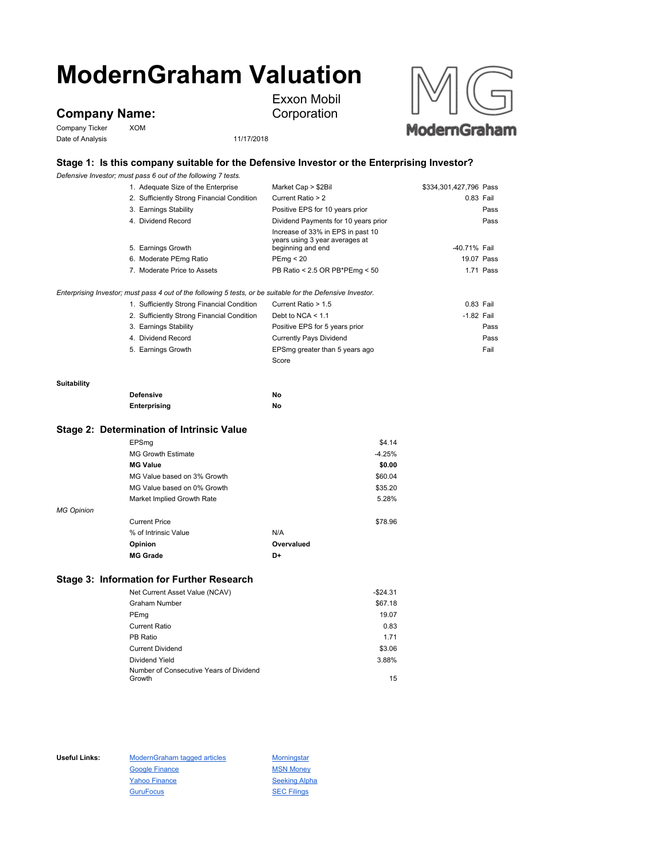# **ModernGraham Valuation**

**Company Name:**

Company Ticker XOM Date of Analysis 11/17/2018



## **Stage 1: Is this company suitable for the Defensive Investor or the Enterprising Investor?**

Exxon Mobil Corporation

*Defensive Investor; must pass 6 out of the following 7 tests.*

|                                           | 1. Adequate Size of the Enterprise                                                                          | Market Cap > \$2Bil                                                                      | \$334,301,427,796 Pass |            |
|-------------------------------------------|-------------------------------------------------------------------------------------------------------------|------------------------------------------------------------------------------------------|------------------------|------------|
|                                           | 2. Sufficiently Strong Financial Condition                                                                  | Current Ratio > 2                                                                        | 0.83 Fail              |            |
|                                           | 3. Earnings Stability                                                                                       | Positive EPS for 10 years prior                                                          |                        | Pass       |
|                                           | 4. Dividend Record                                                                                          | Dividend Payments for 10 years prior                                                     |                        | Pass       |
|                                           | 5. Earnings Growth                                                                                          | Increase of 33% in EPS in past 10<br>years using 3 year averages at<br>beginning and end | -40.71% Fail           |            |
|                                           | 6. Moderate PEmg Ratio                                                                                      | PEmq < 20                                                                                |                        | 19.07 Pass |
|                                           | 7. Moderate Price to Assets                                                                                 | PB Ratio < 2.5 OR PB*PEmg < 50                                                           |                        | 1.71 Pass  |
|                                           | Enterprising Investor; must pass 4 out of the following 5 tests, or be suitable for the Defensive Investor. |                                                                                          |                        |            |
|                                           | 1. Sufficiently Strong Financial Condition                                                                  | Current Ratio > 1.5                                                                      | 0.83 Fail              |            |
|                                           | 2. Sufficiently Strong Financial Condition                                                                  | Debt to NCA $<$ 1.1                                                                      | $-1.82$ Fail           |            |
|                                           | 3. Earnings Stability                                                                                       | Positive EPS for 5 years prior                                                           |                        | Pass       |
|                                           | 4. Dividend Record                                                                                          | <b>Currently Pays Dividend</b>                                                           |                        | Pass       |
|                                           | 5. Earnings Growth                                                                                          | EPSmg greater than 5 years ago                                                           |                        | Fail       |
|                                           |                                                                                                             | Score                                                                                    |                        |            |
| Suitability                               |                                                                                                             |                                                                                          |                        |            |
|                                           | <b>Defensive</b>                                                                                            | No                                                                                       |                        |            |
|                                           | Enterprising                                                                                                | No                                                                                       |                        |            |
| Stage 2: Determination of Intrinsic Value |                                                                                                             |                                                                                          |                        |            |
|                                           |                                                                                                             |                                                                                          |                        |            |

|                   | EPSmg                       |            | \$4.14   |
|-------------------|-----------------------------|------------|----------|
|                   | <b>MG Growth Estimate</b>   |            | $-4.25%$ |
|                   | <b>MG Value</b>             |            | \$0.00   |
|                   | MG Value based on 3% Growth |            | \$60.04  |
|                   | MG Value based on 0% Growth |            | \$35.20  |
|                   | Market Implied Growth Rate  |            | 5.28%    |
| <b>MG Opinion</b> |                             |            |          |
|                   | <b>Current Price</b>        |            | \$78.96  |
|                   | % of Intrinsic Value        | N/A        |          |
|                   | Opinion                     | Overvalued |          |
|                   | <b>MG Grade</b>             | D+         |          |
|                   |                             |            |          |

### **Stage 3: Information for Further Research**

| Net Current Asset Value (NCAV)          | $-$24.31$ |
|-----------------------------------------|-----------|
| <b>Graham Number</b>                    | \$67.18   |
| PEmg                                    | 19.07     |
| <b>Current Ratio</b>                    | 0.83      |
| PB Ratio                                | 1.71      |
| <b>Current Dividend</b>                 | \$3.06    |
| Dividend Yield                          | 3.88%     |
| Number of Consecutive Years of Dividend |           |
| Growth                                  | 15        |

Useful Links: ModernGraham tagged articles Morningstar Google Finance MSN Money Yahoo Finance Seeking Alpha GuruFocus **SEC Filings**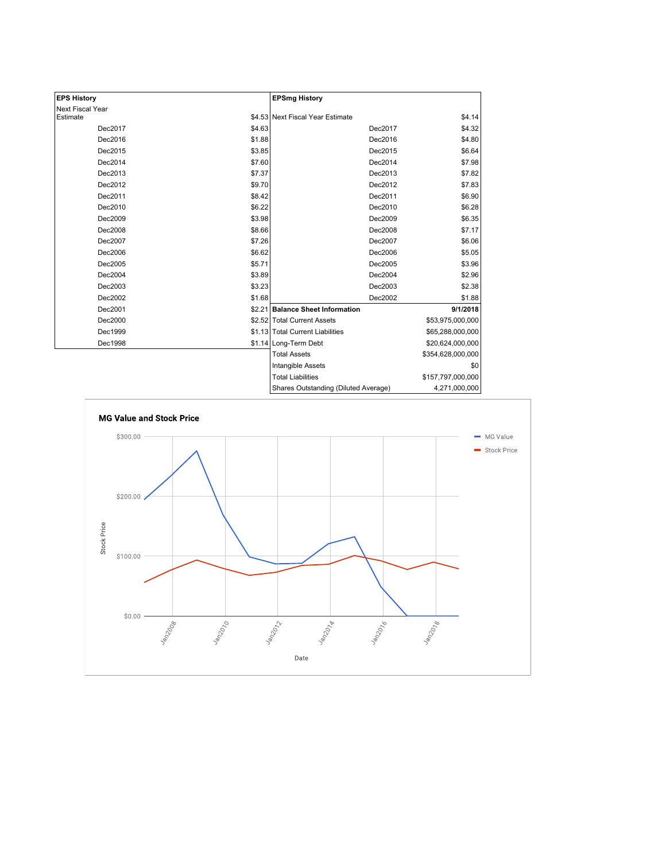| <b>EPS History</b> |        | <b>EPSmg History</b>                 |                   |
|--------------------|--------|--------------------------------------|-------------------|
| Next Fiscal Year   |        |                                      |                   |
| Estimate           |        | \$4.53 Next Fiscal Year Estimate     | \$4.14            |
| Dec2017            | \$4.63 | Dec2017                              | \$4.32            |
| Dec2016            | \$1.88 | Dec2016                              | \$4.80            |
| Dec2015            | \$3.85 | Dec2015                              | \$6.64            |
| Dec2014            | \$7.60 | Dec2014                              | \$7.98            |
| Dec2013            | \$7.37 | Dec2013                              | \$7.82            |
| Dec2012            | \$9.70 | Dec2012                              | \$7.83            |
| Dec2011            | \$8.42 | Dec2011                              | \$6.90            |
| Dec2010            | \$6.22 | Dec2010                              | \$6.28            |
| Dec2009            | \$3.98 | Dec2009                              | \$6.35            |
| Dec2008            | \$8.66 | Dec2008                              | \$7.17            |
| Dec2007            | \$7.26 | Dec2007                              | \$6.06            |
| Dec2006            | \$6.62 | Dec2006                              | \$5.05            |
| Dec2005            | \$5.71 | Dec2005                              | \$3.96            |
| Dec2004            | \$3.89 | Dec2004                              | \$2.96            |
| Dec2003            | \$3.23 | Dec2003                              | \$2.38            |
| Dec2002            | \$1.68 | Dec2002                              | \$1.88            |
| Dec2001            |        | \$2.21 Balance Sheet Information     | 9/1/2018          |
| Dec2000            |        | \$2.52 Total Current Assets          | \$53,975,000,000  |
| Dec1999            |        | \$1.13 Total Current Liabilities     | \$65,288,000,000  |
| Dec1998            |        | \$1.14 Long-Term Debt                | \$20,624,000,000  |
|                    |        | <b>Total Assets</b>                  | \$354,628,000,000 |
|                    |        | Intangible Assets                    | \$0               |
|                    |        | <b>Total Liabilities</b>             | \$157,797,000,000 |
|                    |        | Charge Outetanding (Diluted Average) | 4.271.000.000     |